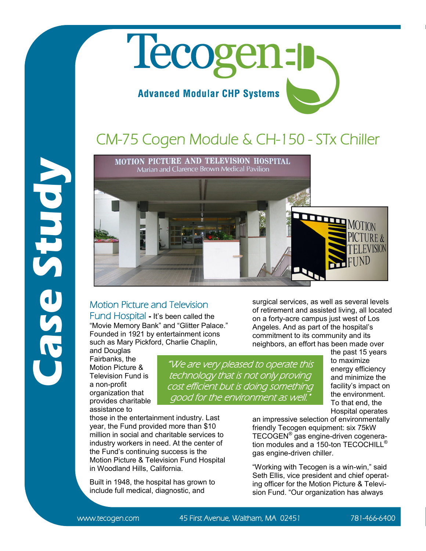## Tecogen-**Advanced Modular CHP Systems**

## CM-75 Cogen Module & CH-150 - STx Chiller



## Motion Picture and Television

Fund Hospital **-** It's been called the "Movie Memory Bank" and "Glitter Palace." Founded in 1921 by entertainment icons such as Mary Pickford, Charlie Chaplin,

and Douglas Fairbanks, the Motion Picture & Television Fund is a non-profit organization that provides charitable assistance to

**Case Study**

"We are very pleased to operate this technology that is not only proving cost efficient but is doing something good for the environment as well.

surgical services, as well as several levels of retirement and assisted living, all located on a forty-acre campus just west of Los Angeles. And as part of the hospital's commitment to its community and its neighbors, an effort has been made over

the past 15 years to maximize energy efficiency and minimize the facility's impact on the environment. To that end, the Hospital operates

those in the entertainment industry. Last year, the Fund provided more than \$10 million in social and charitable services to industry workers in need. At the center of the Fund's continuing success is the Motion Picture & Television Fund Hospital in Woodland Hills, California.

Built in 1948, the hospital has grown to include full medical, diagnostic, and

an impressive selection of environmentally friendly Tecogen equipment: six 75kW TECOGEN® gas engine-driven cogeneration modules and a 150-ton TECOCHILL® gas engine-driven chiller.

"Working with Tecogen is a win-win," said Seth Ellis, vice president and chief operating officer for the Motion Picture & Television Fund. "Our organization has always